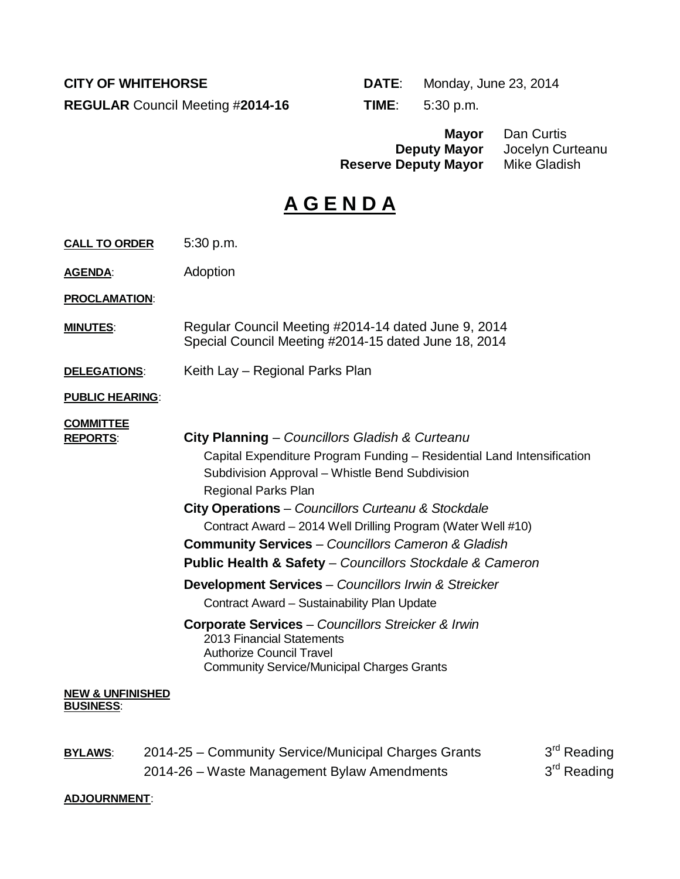**REGULAR** Council Meeting #**2014-16 TIME**: 5:30 p.m.

**CITY OF WHITEHORSE DATE:** Monday, June 23, 2014

**Mayor** Dan Curtis **Jocelyn Curteanu<br>Mike Gladish Reserve Deputy Mayor<br>Reserve Deputy Mayor** 

# **A G E N D A**

| <b>CALL TO ORDER</b>                            | 5:30 p.m.                                                                                                                                                                                                                                                                                                                                                                                                                                                           |
|-------------------------------------------------|---------------------------------------------------------------------------------------------------------------------------------------------------------------------------------------------------------------------------------------------------------------------------------------------------------------------------------------------------------------------------------------------------------------------------------------------------------------------|
| <b>AGENDA:</b>                                  | Adoption                                                                                                                                                                                                                                                                                                                                                                                                                                                            |
| <b>PROCLAMATION:</b>                            |                                                                                                                                                                                                                                                                                                                                                                                                                                                                     |
| <b>MINUTES:</b>                                 | Regular Council Meeting #2014-14 dated June 9, 2014<br>Special Council Meeting #2014-15 dated June 18, 2014                                                                                                                                                                                                                                                                                                                                                         |
| DELEGATIONS:                                    | Keith Lay – Regional Parks Plan                                                                                                                                                                                                                                                                                                                                                                                                                                     |
| <b>PUBLIC HEARING:</b>                          |                                                                                                                                                                                                                                                                                                                                                                                                                                                                     |
| <b>COMMITTEE</b><br><b>REPORTS:</b>             | City Planning - Councillors Gladish & Curteanu<br>Capital Expenditure Program Funding - Residential Land Intensification<br>Subdivision Approval - Whistle Bend Subdivision<br><b>Regional Parks Plan</b><br>City Operations - Councillors Curteanu & Stockdale<br>Contract Award - 2014 Well Drilling Program (Water Well #10)<br><b>Community Services</b> - Councillors Cameron & Gladish<br><b>Public Health &amp; Safety</b> - Councillors Stockdale & Cameron |
|                                                 | <b>Development Services</b> - Councillors Irwin & Streicker<br>Contract Award - Sustainability Plan Update                                                                                                                                                                                                                                                                                                                                                          |
|                                                 | <b>Corporate Services</b> - Councillors Streicker & Irwin<br>2013 Financial Statements<br><b>Authorize Council Travel</b><br><b>Community Service/Municipal Charges Grants</b>                                                                                                                                                                                                                                                                                      |
| <b>NEW &amp; UNFINISHED</b><br><b>BUSINESS:</b> |                                                                                                                                                                                                                                                                                                                                                                                                                                                                     |

| <b>BYLAWS:</b> | 2014-25 – Community Service/Municipal Charges Grants | 3 <sup>rd</sup> Reading |
|----------------|------------------------------------------------------|-------------------------|
|                | 2014-26 – Waste Management Bylaw Amendments          | 3 <sup>rd</sup> Reading |

#### **ADJOURNMENT**: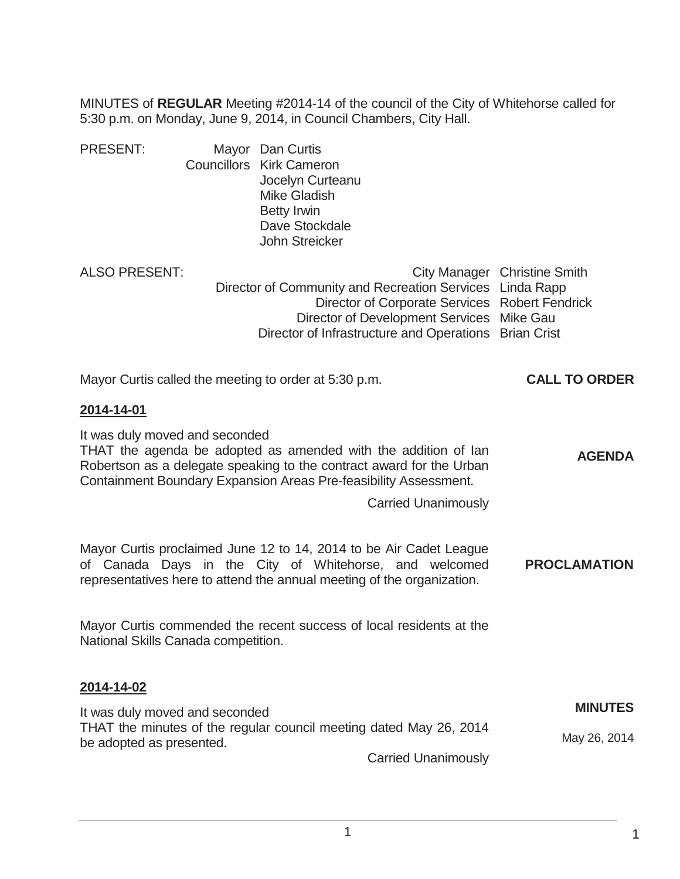MINUTES of **REGULAR** Meeting #2014-14 of the council of the City of Whitehorse called for 5:30 p.m. on Monday, June 9, 2014, in Council Chambers, City Hall.

| <b>PRESENT:</b> | Mayor Dan Curtis                |
|-----------------|---------------------------------|
|                 | <b>Councillors Kirk Cameron</b> |
|                 | Jocelyn Curteanu                |
|                 | <b>Mike Gladish</b>             |
|                 | <b>Betty Irwin</b>              |
|                 | Dave Stockdale                  |
|                 | John Streicker                  |
|                 |                                 |

| ALSO PRESENT: |                                                          | City Manager Christine Smith |
|---------------|----------------------------------------------------------|------------------------------|
|               | Director of Community and Recreation Services Linda Rapp |                              |
|               | Director of Corporate Services Robert Fendrick           |                              |
|               | Director of Development Services Mike Gau                |                              |
|               | Director of Infrastructure and Operations Brian Crist    |                              |

| Mayor Curtis called the meeting to order at 5:30 p.m. | <b>CALL TO ORDER</b> |
|-------------------------------------------------------|----------------------|
| 2014-14-01                                            |                      |

It was duly moved and seconded THAT the agenda be adopted as amended with the addition of Ian Robertson as a delegate speaking to the contract award for the Urban Containment Boundary Expansion Areas Pre-feasibility Assessment. Carried Unanimously **AGENDA**  Mayor Curtis proclaimed June 12 to 14, 2014 to be Air Cadet League of Canada Days in the City of Whitehorse, and welcomed representatives here to attend the annual meeting of the organization. **PROCLAMATION**  Mayor Curtis commended the recent success of local residents at the National Skills Canada competition. **2014-14-02** It was duly moved and seconded THAT the minutes of the regular council meeting dated May 26, 2014 be adopted as presented. Carried Unanimously **MINUTES** May 26, 2014

1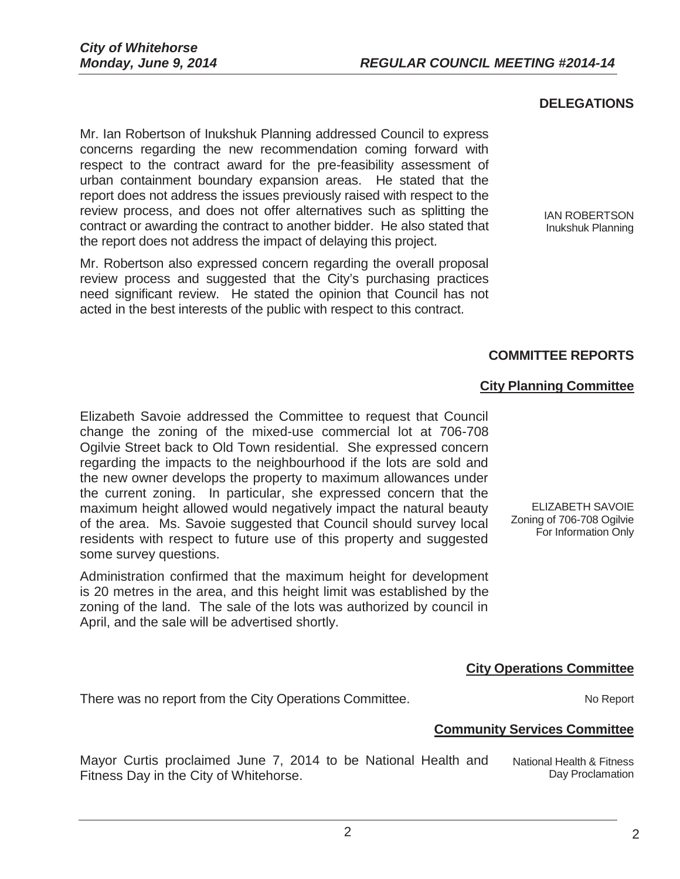#### **DELEGATIONS**

Mr. Ian Robertson of Inukshuk Planning addressed Council to express concerns regarding the new recommendation coming forward with respect to the contract award for the pre-feasibility assessment of urban containment boundary expansion areas. He stated that the report does not address the issues previously raised with respect to the review process, and does not offer alternatives such as splitting the contract or awarding the contract to another bidder. He also stated that the report does not address the impact of delaying this project.

Mr. Robertson also expressed concern regarding the overall proposal review process and suggested that the City's purchasing practices need significant review. He stated the opinion that Council has not acted in the best interests of the public with respect to this contract.

IAN ROBERTSON Inukshuk Planning

### **COMMITTEE REPORTS**

#### **City Planning Committee**

Elizabeth Savoie addressed the Committee to request that Council change the zoning of the mixed-use commercial lot at 706-708 Ogilvie Street back to Old Town residential. She expressed concern regarding the impacts to the neighbourhood if the lots are sold and the new owner develops the property to maximum allowances under the current zoning. In particular, she expressed concern that the maximum height allowed would negatively impact the natural beauty of the area. Ms. Savoie suggested that Council should survey local residents with respect to future use of this property and suggested some survey questions.

Administration confirmed that the maximum height for development is 20 metres in the area, and this height limit was established by the zoning of the land. The sale of the lots was authorized by council in April, and the sale will be advertised shortly.

ELIZABETH SAVOIE Zoning of 706-708 Ogilvie For Information Only

#### **City Operations Committee**

There was no report from the City Operations Committee.

#### **Community Services Committee**

Mayor Curtis proclaimed June 7, 2014 to be National Health and Fitness Day in the City of Whitehorse. National Health & Fitness Day Proclamation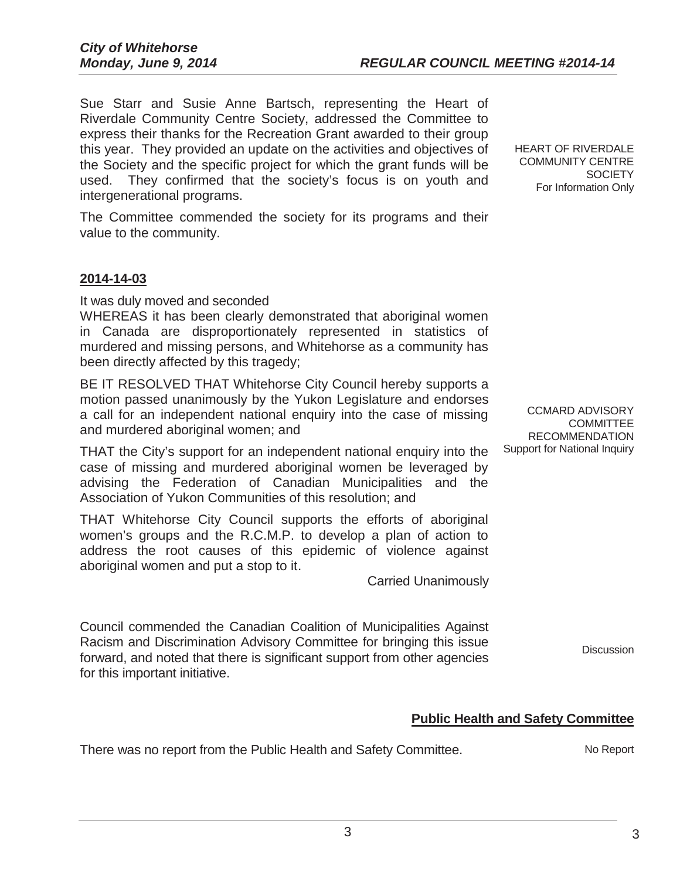Sue Starr and Susie Anne Bartsch, representing the Heart of Riverdale Community Centre Society, addressed the Committee to express their thanks for the Recreation Grant awarded to their group this year. They provided an update on the activities and objectives of the Society and the specific project for which the grant funds will be used. They confirmed that the society's focus is on youth and intergenerational programs.

The Committee commended the society for its programs and their value to the community.

#### **2014-14-03**

It was duly moved and seconded

WHEREAS it has been clearly demonstrated that aboriginal women in Canada are disproportionately represented in statistics of murdered and missing persons, and Whitehorse as a community has been directly affected by this tragedy;

BE IT RESOLVED THAT Whitehorse City Council hereby supports a motion passed unanimously by the Yukon Legislature and endorses a call for an independent national enquiry into the case of missing and murdered aboriginal women; and

THAT the City's support for an independent national enquiry into the case of missing and murdered aboriginal women be leveraged by advising the Federation of Canadian Municipalities and the Association of Yukon Communities of this resolution; and

THAT Whitehorse City Council supports the efforts of aboriginal women's groups and the R.C.M.P. to develop a plan of action to address the root causes of this epidemic of violence against aboriginal women and put a stop to it.

Carried Unanimously

Council commended the Canadian Coalition of Municipalities Against Racism and Discrimination Advisory Committee for bringing this issue forward, and noted that there is significant support from other agencies for this important initiative.

**COMMITTEE** RECOMMENDATION Support for National Inquiry

CCMARD ADVISORY

HEART OF RIVERDALE COMMUNITY CENTRE

For Information Only

**SOCIETY** 

**Discussion** 

### **Public Health and Safety Committee**

There was no report from the Public Health and Safety Committee. No Report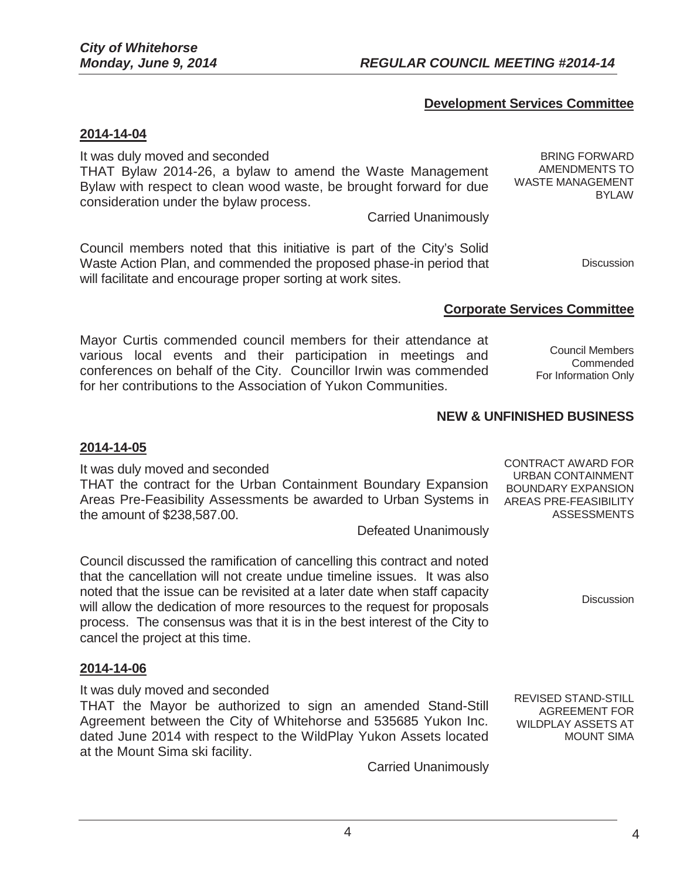### **Development Services Committee**

#### **2014-14-04**

It was duly moved and seconded

THAT Bylaw 2014-26, a bylaw to amend the Waste Management Bylaw with respect to clean wood waste, be brought forward for due consideration under the bylaw process.

Carried Unanimously

Council members noted that this initiative is part of the City's Solid Waste Action Plan, and commended the proposed phase-in period that will facilitate and encourage proper sorting at work sites.

**Corporate Services Committee** 

Mayor Curtis commended council members for their attendance at various local events and their participation in meetings and conferences on behalf of the City. Councillor Irwin was commended for her contributions to the Association of Yukon Communities.

Council Members Commended For Information Only

### **NEW & UNFINISHED BUSINESS**

#### **2014-14-05**

It was duly moved and seconded THAT the contract for the Urban Containment Boundary Expansion Areas Pre-Feasibility Assessments be awarded to Urban Systems in the amount of \$238,587.00. Defeated Unanimously

4

Council discussed the ramification of cancelling this contract and noted that the cancellation will not create undue timeline issues. It was also noted that the issue can be revisited at a later date when staff capacity will allow the dedication of more resources to the request for proposals process. The consensus was that it is in the best interest of the City to cancel the project at this time.

### **2014-14-06**

It was duly moved and seconded

THAT the Mayor be authorized to sign an amended Stand-Still Agreement between the City of Whitehorse and 535685 Yukon Inc. dated June 2014 with respect to the WildPlay Yukon Assets located at the Mount Sima ski facility.

Carried Unanimously

CONTRACT AWARD FOR URBAN CONTAINMENT BOUNDARY EXPANSION AREAS PRE-FEASIBILITY ASSESSMENTS

**Discussion** 

REVISED STAND-STILL AGREEMENT FOR WILDPLAY ASSETS AT MOUNT SIMA

**Discussion** 

BYLAW

BRING FORWARD AMENDMENTS TO WASTE MANAGEMENT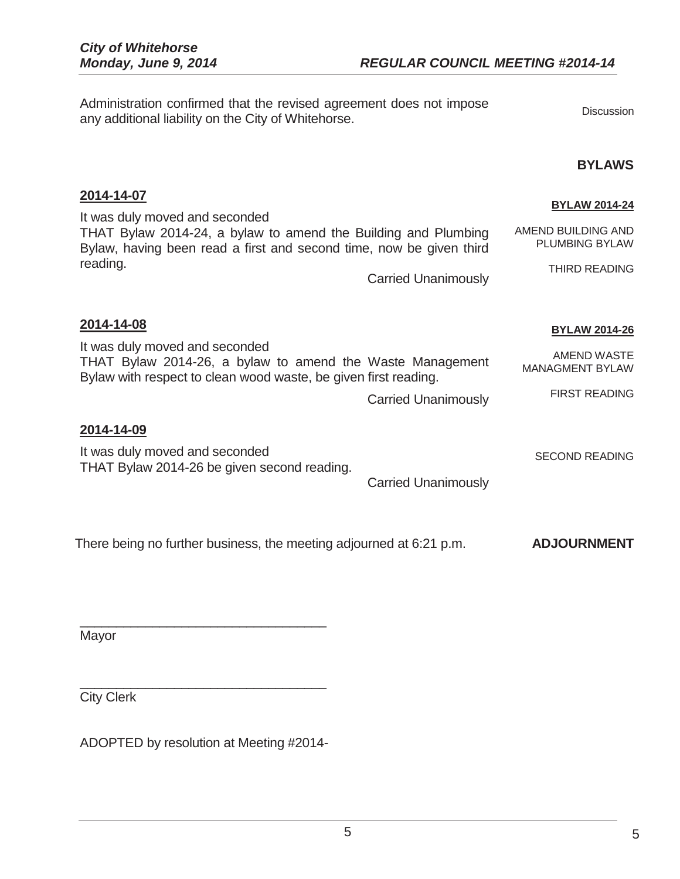**2014-14-07** 

Administration confirmed that the revised agreement does not impose Administration committed that the revised agreement does not impose<br>any additional liability on the City of Whitehorse.

#### **BYLAWS**

| <b>BYLAW 2014-24</b><br>AMEND BUILDING AND<br><b>PLUMBING BYLAW</b><br>THIRD READING         |
|----------------------------------------------------------------------------------------------|
| <b>BYLAW 2014-26</b><br><b>AMEND WASTE</b><br><b>MANAGMENT BYLAW</b><br><b>FIRST READING</b> |
| <b>SECOND READING</b><br><b>ADJOURNMENT</b>                                                  |
|                                                                                              |

Mayor

City Clerk

ADOPTED by resolution at Meeting #2014-

\_\_\_\_\_\_\_\_\_\_\_\_\_\_\_\_\_\_\_\_\_\_\_\_\_\_\_\_\_\_\_\_\_\_

\_\_\_\_\_\_\_\_\_\_\_\_\_\_\_\_\_\_\_\_\_\_\_\_\_\_\_\_\_\_\_\_\_\_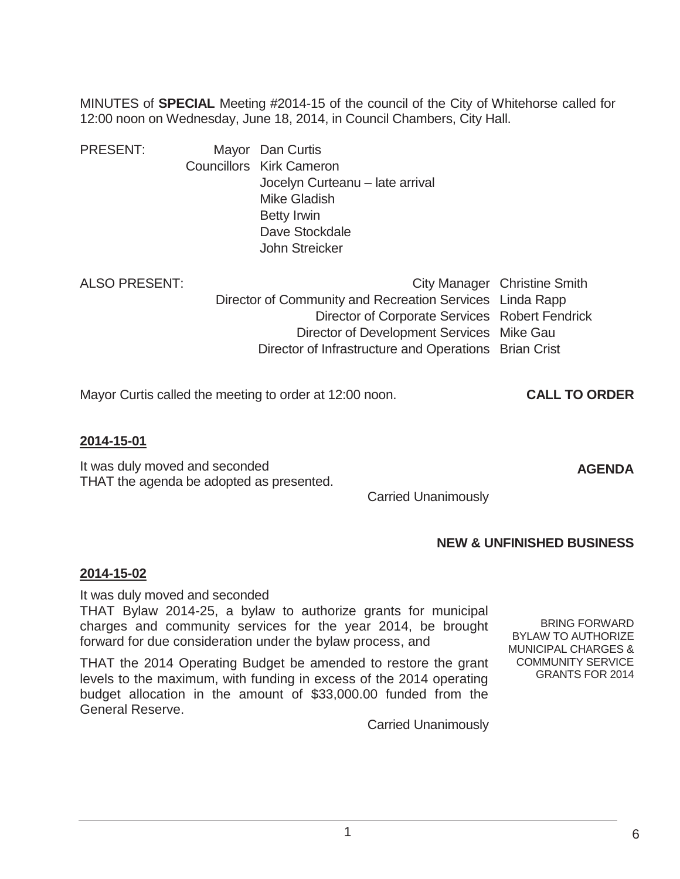MINUTES of **SPECIAL** Meeting #2014-15 of the council of the City of Whitehorse called for 12:00 noon on Wednesday, June 18, 2014, in Council Chambers, City Hall.

| <b>PRESENT:</b> | Mayor Dan Curtis                |
|-----------------|---------------------------------|
|                 | <b>Councillors Kirk Cameron</b> |
|                 | Jocelyn Curteanu - late arrival |
|                 | <b>Mike Gladish</b>             |
|                 | <b>Betty Irwin</b>              |
|                 | Dave Stockdale                  |
|                 | John Streicker                  |
|                 |                                 |

|                                                          | City Manager Christine Smith |
|----------------------------------------------------------|------------------------------|
| Director of Community and Recreation Services Linda Rapp |                              |
| Director of Corporate Services Robert Fendrick           |                              |
| Director of Development Services Mike Gau                |                              |
| Director of Infrastructure and Operations Brian Crist    |                              |
|                                                          |                              |

Mayor Curtis called the meeting to order at 12:00 noon. **CALL TO ORDER** 

### **2014-15-01**

It was duly moved and seconded THAT the agenda be adopted as presented.

Carried Unanimously

### **NEW & UNFINISHED BUSINESS**

### **2014-15-02**

It was duly moved and seconded

THAT Bylaw 2014-25, a bylaw to authorize grants for municipal charges and community services for the year 2014, be brought forward for due consideration under the bylaw process, and

THAT the 2014 Operating Budget be amended to restore the grant levels to the maximum, with funding in excess of the 2014 operating budget allocation in the amount of \$33,000.00 funded from the General Reserve.

BRING FORWARD BYLAW TO AUTHORIZE MUNICIPAL CHARGES & COMMUNITY SERVICE GRANTS FOR 2014

6

**AGENDA** 

Carried Unanimously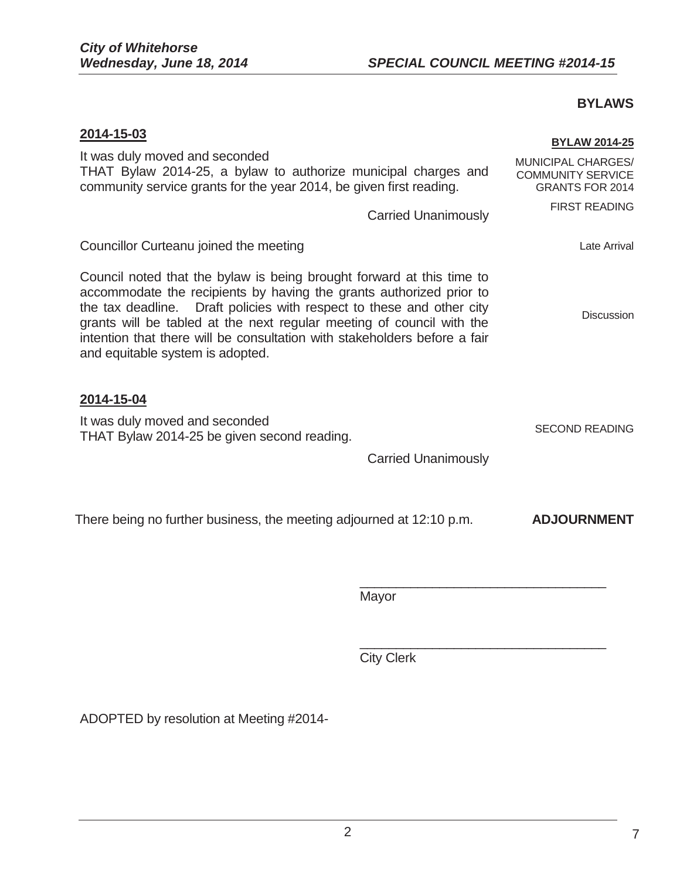### **BYLAWS**

| <b>BYLAW 2014-25</b><br>MUNICIPAL CHARGES/<br>THAT Bylaw 2014-25, a bylaw to authorize municipal charges and<br><b>COMMUNITY SERVICE</b><br><b>GRANTS FOR 2014</b><br><b>FIRST READING</b>                                                                                                                                                                                     |
|--------------------------------------------------------------------------------------------------------------------------------------------------------------------------------------------------------------------------------------------------------------------------------------------------------------------------------------------------------------------------------|
| <b>Carried Unanimously</b><br>Late Arrival                                                                                                                                                                                                                                                                                                                                     |
| Council noted that the bylaw is being brought forward at this time to<br>accommodate the recipients by having the grants authorized prior to<br>Draft policies with respect to these and other city<br><b>Discussion</b><br>grants will be tabled at the next regular meeting of council with the<br>intention that there will be consultation with stakeholders before a fair |
| <b>SECOND READING</b><br><b>Carried Unanimously</b>                                                                                                                                                                                                                                                                                                                            |
| <b>ADJOURNMENT</b>                                                                                                                                                                                                                                                                                                                                                             |
|                                                                                                                                                                                                                                                                                                                                                                                |
|                                                                                                                                                                                                                                                                                                                                                                                |

**City Clerk** 

ADOPTED by resolution at Meeting #2014-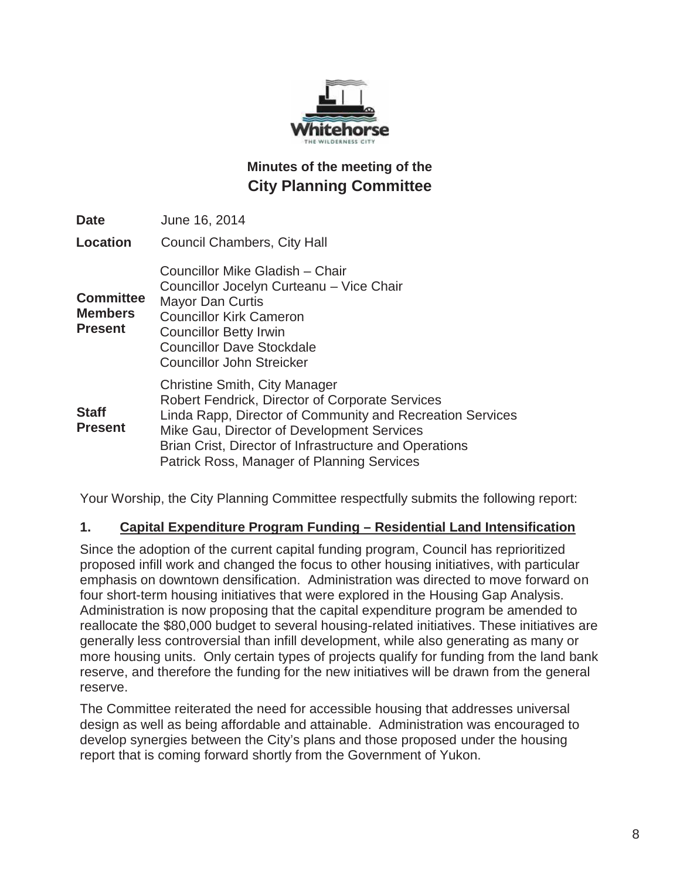

# **Minutes of the meeting of the City Planning Committee**

| <b>Date</b>                                          | June 16, 2014                                                                                                                                                                                                                                                                                              |
|------------------------------------------------------|------------------------------------------------------------------------------------------------------------------------------------------------------------------------------------------------------------------------------------------------------------------------------------------------------------|
| <b>Location</b>                                      | <b>Council Chambers, City Hall</b>                                                                                                                                                                                                                                                                         |
| <b>Committee</b><br><b>Members</b><br><b>Present</b> | Councillor Mike Gladish - Chair<br>Councillor Jocelyn Curteanu - Vice Chair<br><b>Mayor Dan Curtis</b><br><b>Councillor Kirk Cameron</b><br><b>Councillor Betty Irwin</b><br><b>Councillor Dave Stockdale</b><br><b>Councillor John Streicker</b>                                                          |
| <b>Staff</b><br><b>Present</b>                       | <b>Christine Smith, City Manager</b><br>Robert Fendrick, Director of Corporate Services<br>Linda Rapp, Director of Community and Recreation Services<br>Mike Gau, Director of Development Services<br>Brian Crist, Director of Infrastructure and Operations<br>Patrick Ross, Manager of Planning Services |

Your Worship, the City Planning Committee respectfully submits the following report:

### **1. Capital Expenditure Program Funding – Residential Land Intensification**

Since the adoption of the current capital funding program, Council has reprioritized proposed infill work and changed the focus to other housing initiatives, with particular emphasis on downtown densification. Administration was directed to move forward on four short-term housing initiatives that were explored in the Housing Gap Analysis. Administration is now proposing that the capital expenditure program be amended to reallocate the \$80,000 budget to several housing-related initiatives. These initiatives are generally less controversial than infill development, while also generating as many or more housing units. Only certain types of projects qualify for funding from the land bank reserve, and therefore the funding for the new initiatives will be drawn from the general reserve.

The Committee reiterated the need for accessible housing that addresses universal design as well as being affordable and attainable. Administration was encouraged to develop synergies between the City's plans and those proposed under the housing report that is coming forward shortly from the Government of Yukon.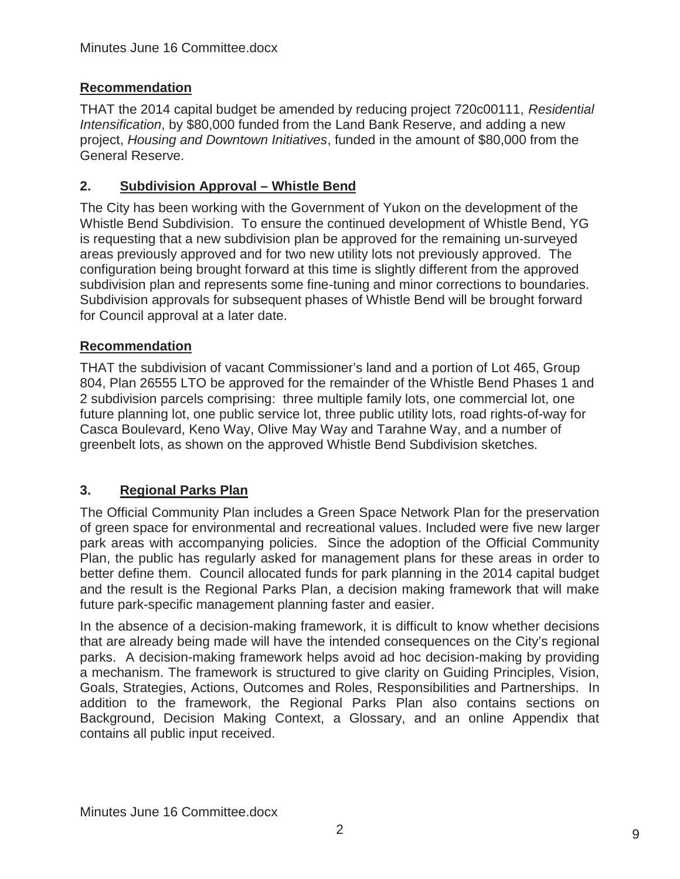# **Recommendation**

THAT the 2014 capital budget be amended by reducing project 720c00111, *Residential Intensification*, by \$80,000 funded from the Land Bank Reserve, and adding a new project, *Housing and Downtown Initiatives*, funded in the amount of \$80,000 from the General Reserve.

# **2.** Subdivision Approval – Whistle Bend

The City has been working with the Government of Yukon on the development of the Whistle Bend Subdivision. To ensure the continued development of Whistle Bend, YG is requesting that a new subdivision plan be approved for the remaining un-surveyed areas previously approved and for two new utility lots not previously approved. The configuration being brought forward at this time is slightly different from the approved subdivision plan and represents some fine-tuning and minor corrections to boundaries. Subdivision approvals for subsequent phases of Whistle Bend will be brought forward for Council approval at a later date.

## **Recommendation**

THAT the subdivision of vacant Commissioner's land and a portion of Lot 465, Group 804, Plan 26555 LTO be approved for the remainder of the Whistle Bend Phases 1 and 2 subdivision parcels comprising: three multiple family lots, one commercial lot, one future planning lot, one public service lot, three public utility lots, road rights-of-way for Casca Boulevard, Keno Way, Olive May Way and Tarahne Way, and a number of greenbelt lots, as shown on the approved Whistle Bend Subdivision sketches.

## **3. Regional Parks Plan**

The Official Community Plan includes a Green Space Network Plan for the preservation of green space for environmental and recreational values. Included were five new larger park areas with accompanying policies. Since the adoption of the Official Community Plan, the public has regularly asked for management plans for these areas in order to better define them. Council allocated funds for park planning in the 2014 capital budget and the result is the Regional Parks Plan, a decision making framework that will make future park-specific management planning faster and easier.

In the absence of a decision-making framework, it is difficult to know whether decisions that are already being made will have the intended consequences on the City's regional parks. A decision-making framework helps avoid ad hoc decision-making by providing a mechanism. The framework is structured to give clarity on Guiding Principles, Vision, Goals, Strategies, Actions, Outcomes and Roles, Responsibilities and Partnerships. In addition to the framework, the Regional Parks Plan also contains sections on Background, Decision Making Context, a Glossary, and an online Appendix that contains all public input received.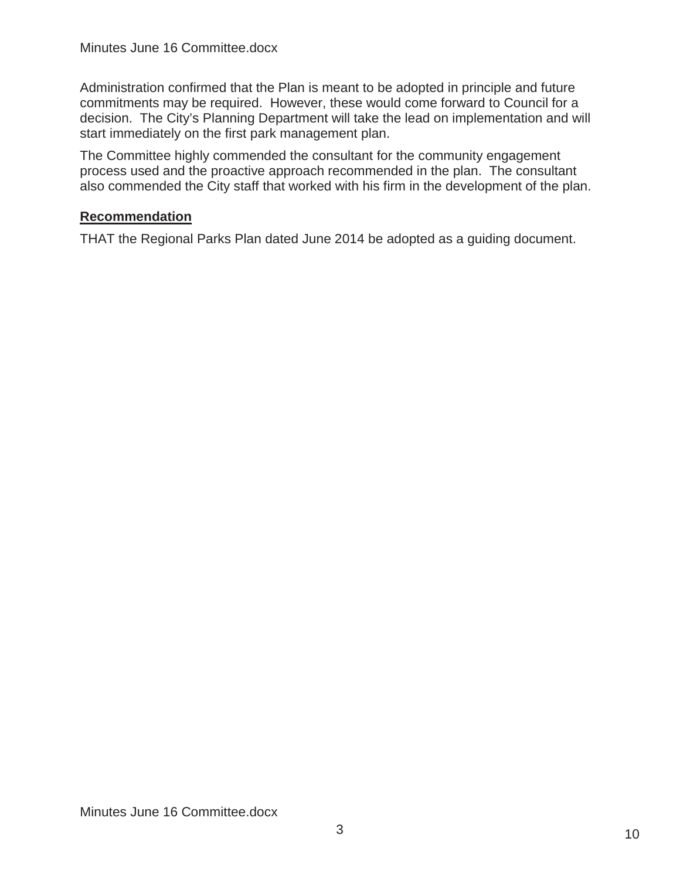Administration confirmed that the Plan is meant to be adopted in principle and future commitments may be required. However, these would come forward to Council for a decision. The City's Planning Department will take the lead on implementation and will start immediately on the first park management plan.

The Committee highly commended the consultant for the community engagement process used and the proactive approach recommended in the plan. The consultant also commended the City staff that worked with his firm in the development of the plan.

### **Recommendation**

THAT the Regional Parks Plan dated June 2014 be adopted as a guiding document.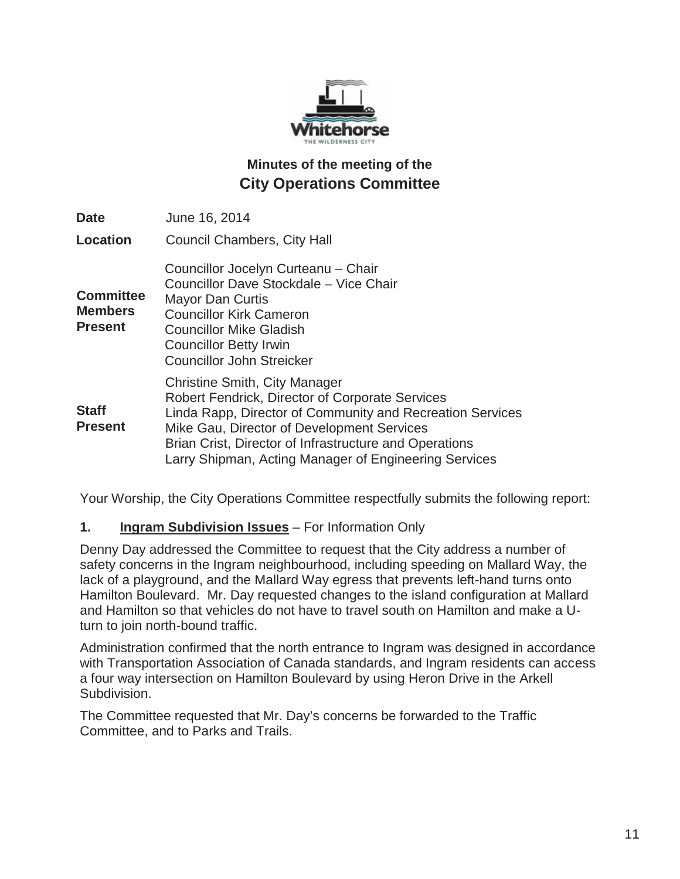

# **Minutes of the meeting of the City Operations Committee**

| <b>Date</b>                                          | June 16, 2014                                                                                                                                                                                                                                                                                                                |
|------------------------------------------------------|------------------------------------------------------------------------------------------------------------------------------------------------------------------------------------------------------------------------------------------------------------------------------------------------------------------------------|
| <b>Location</b>                                      | <b>Council Chambers, City Hall</b>                                                                                                                                                                                                                                                                                           |
| <b>Committee</b><br><b>Members</b><br><b>Present</b> | Councillor Jocelyn Curteanu - Chair<br>Councillor Dave Stockdale - Vice Chair<br>Mayor Dan Curtis<br><b>Councillor Kirk Cameron</b><br><b>Councillor Mike Gladish</b><br><b>Councillor Betty Irwin</b><br><b>Councillor John Streicker</b>                                                                                   |
| <b>Staff</b><br><b>Present</b>                       | <b>Christine Smith, City Manager</b><br><b>Robert Fendrick, Director of Corporate Services</b><br>Linda Rapp, Director of Community and Recreation Services<br>Mike Gau, Director of Development Services<br>Brian Crist, Director of Infrastructure and Operations<br>Larry Shipman, Acting Manager of Engineering Services |

Your Worship, the City Operations Committee respectfully submits the following report:

### **1. Ingram Subdivision Issues** – For Information Only

Denny Day addressed the Committee to request that the City address a number of safety concerns in the Ingram neighbourhood, including speeding on Mallard Way, the lack of a playground, and the Mallard Way egress that prevents left-hand turns onto Hamilton Boulevard. Mr. Day requested changes to the island configuration at Mallard and Hamilton so that vehicles do not have to travel south on Hamilton and make a Uturn to join north-bound traffic.

Administration confirmed that the north entrance to Ingram was designed in accordance with Transportation Association of Canada standards, and Ingram residents can access a four way intersection on Hamilton Boulevard by using Heron Drive in the Arkell Subdivision.

The Committee requested that Mr. Day's concerns be forwarded to the Traffic Committee, and to Parks and Trails.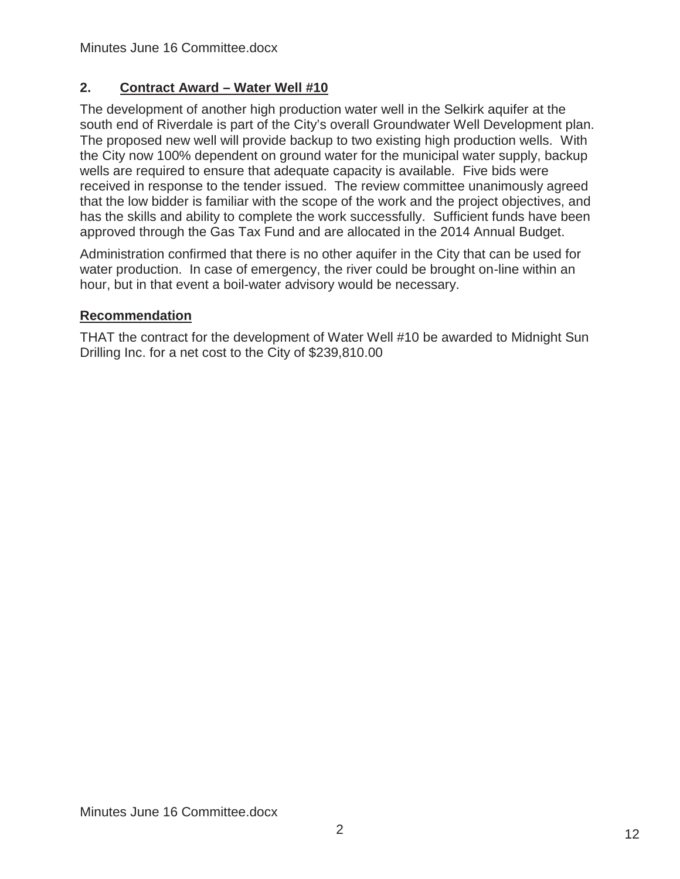# **2. Contract Award – Water Well #10**

The development of another high production water well in the Selkirk aquifer at the south end of Riverdale is part of the City's overall Groundwater Well Development plan. The proposed new well will provide backup to two existing high production wells. With the City now 100% dependent on ground water for the municipal water supply, backup wells are required to ensure that adequate capacity is available. Five bids were received in response to the tender issued. The review committee unanimously agreed that the low bidder is familiar with the scope of the work and the project objectives, and has the skills and ability to complete the work successfully. Sufficient funds have been approved through the Gas Tax Fund and are allocated in the 2014 Annual Budget.

Administration confirmed that there is no other aquifer in the City that can be used for water production. In case of emergency, the river could be brought on-line within an hour, but in that event a boil-water advisory would be necessary.

## **Recommendation**

THAT the contract for the development of Water Well #10 be awarded to Midnight Sun Drilling Inc. for a net cost to the City of \$239,810.00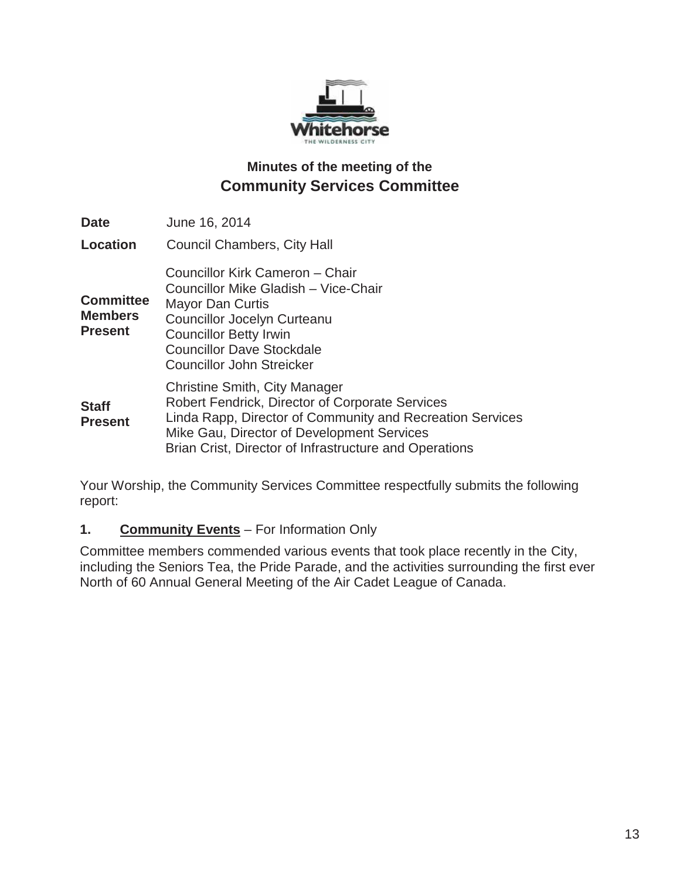

# **Minutes of the meeting of the Community Services Committee**

| <b>Date</b>                                          | June 16, 2014                                                                                                                                                                                                                                                       |
|------------------------------------------------------|---------------------------------------------------------------------------------------------------------------------------------------------------------------------------------------------------------------------------------------------------------------------|
| Location                                             | <b>Council Chambers, City Hall</b>                                                                                                                                                                                                                                  |
| <b>Committee</b><br><b>Members</b><br><b>Present</b> | Councillor Kirk Cameron - Chair<br>Councillor Mike Gladish - Vice-Chair<br><b>Mayor Dan Curtis</b><br><b>Councillor Jocelyn Curteanu</b><br><b>Councillor Betty Irwin</b><br><b>Councillor Dave Stockdale</b><br><b>Councillor John Streicker</b>                   |
| <b>Staff</b><br><b>Present</b>                       | <b>Christine Smith, City Manager</b><br><b>Robert Fendrick, Director of Corporate Services</b><br>Linda Rapp, Director of Community and Recreation Services<br>Mike Gau, Director of Development Services<br>Brian Crist, Director of Infrastructure and Operations |

Your Worship, the Community Services Committee respectfully submits the following report:

### **1. Community Events** – For Information Only

Committee members commended various events that took place recently in the City, including the Seniors Tea, the Pride Parade, and the activities surrounding the first ever North of 60 Annual General Meeting of the Air Cadet League of Canada.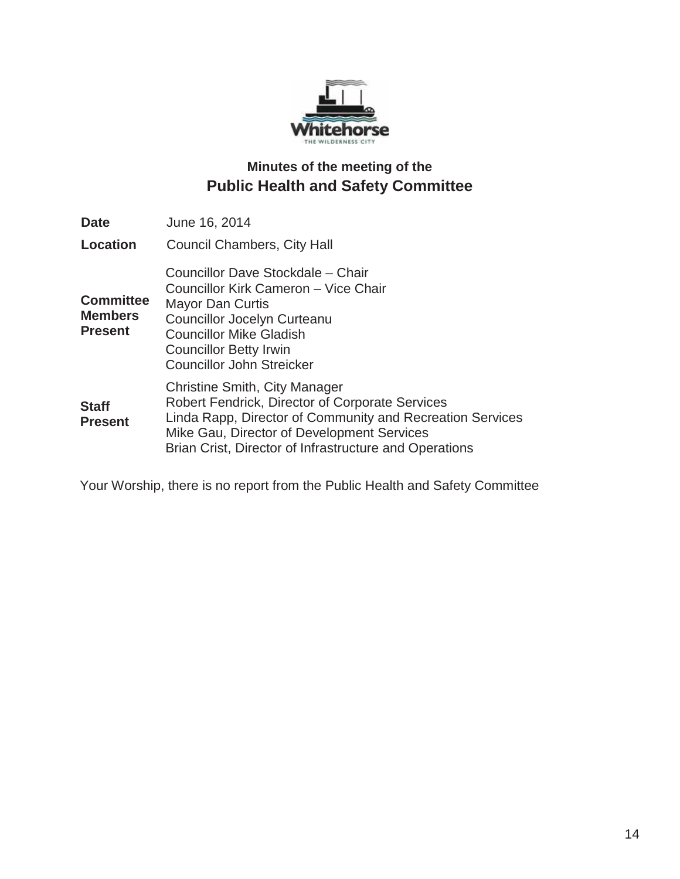

# **Minutes of the meeting of the Public Health and Safety Committee**

| <b>Date</b>                                          | June 16, 2014                                                                                                                                                                                                                                                       |
|------------------------------------------------------|---------------------------------------------------------------------------------------------------------------------------------------------------------------------------------------------------------------------------------------------------------------------|
| <b>Location</b>                                      | <b>Council Chambers, City Hall</b>                                                                                                                                                                                                                                  |
| <b>Committee</b><br><b>Members</b><br><b>Present</b> | Councillor Dave Stockdale - Chair<br>Councillor Kirk Cameron - Vice Chair<br><b>Mayor Dan Curtis</b><br><b>Councillor Jocelyn Curteanu</b><br><b>Councillor Mike Gladish</b><br><b>Councillor Betty Irwin</b><br><b>Councillor John Streicker</b>                   |
| <b>Staff</b><br><b>Present</b>                       | <b>Christine Smith, City Manager</b><br><b>Robert Fendrick, Director of Corporate Services</b><br>Linda Rapp, Director of Community and Recreation Services<br>Mike Gau, Director of Development Services<br>Brian Crist, Director of Infrastructure and Operations |

Your Worship, there is no report from the Public Health and Safety Committee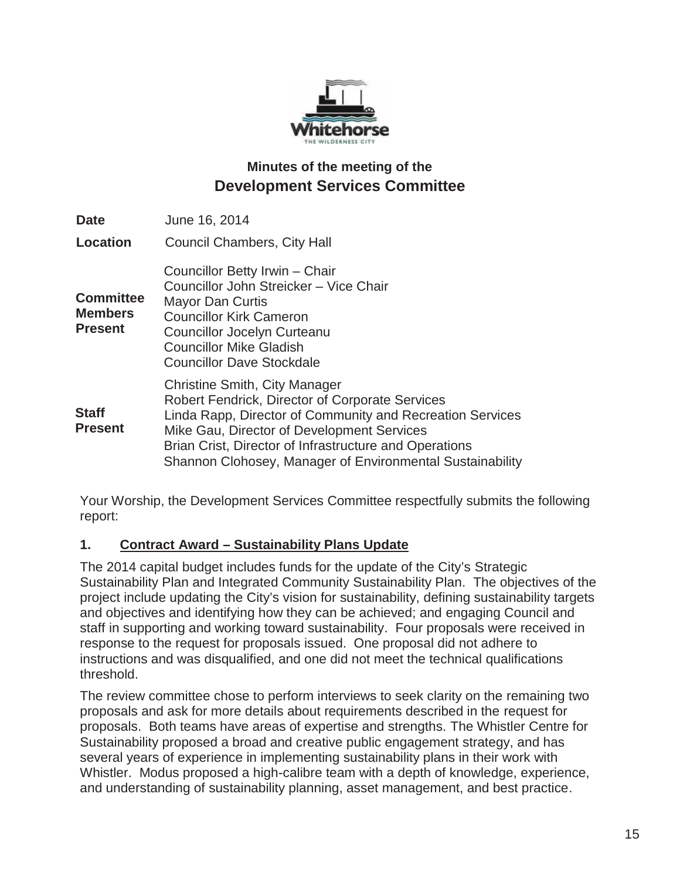

# **Minutes of the meeting of the Development Services Committee**

| <b>Date</b>                                          | June 16, 2014                                                                                                                                                                                                                                                                                                                    |
|------------------------------------------------------|----------------------------------------------------------------------------------------------------------------------------------------------------------------------------------------------------------------------------------------------------------------------------------------------------------------------------------|
| <b>Location</b>                                      | <b>Council Chambers, City Hall</b>                                                                                                                                                                                                                                                                                               |
| <b>Committee</b><br><b>Members</b><br><b>Present</b> | Councillor Betty Irwin - Chair<br>Councillor John Streicker - Vice Chair<br><b>Mayor Dan Curtis</b><br><b>Councillor Kirk Cameron</b><br><b>Councillor Jocelyn Curteanu</b><br><b>Councillor Mike Gladish</b><br><b>Councillor Dave Stockdale</b>                                                                                |
| <b>Staff</b><br><b>Present</b>                       | <b>Christine Smith, City Manager</b><br><b>Robert Fendrick, Director of Corporate Services</b><br>Linda Rapp, Director of Community and Recreation Services<br>Mike Gau, Director of Development Services<br>Brian Crist, Director of Infrastructure and Operations<br>Shannon Clohosey, Manager of Environmental Sustainability |

Your Worship, the Development Services Committee respectfully submits the following report:

### **1. Contract Award – Sustainability Plans Update**

The 2014 capital budget includes funds for the update of the City's Strategic Sustainability Plan and Integrated Community Sustainability Plan. The objectives of the project include updating the City's vision for sustainability, defining sustainability targets and objectives and identifying how they can be achieved; and engaging Council and staff in supporting and working toward sustainability. Four proposals were received in response to the request for proposals issued. One proposal did not adhere to instructions and was disqualified, and one did not meet the technical qualifications threshold.

The review committee chose to perform interviews to seek clarity on the remaining two proposals and ask for more details about requirements described in the request for proposals. Both teams have areas of expertise and strengths. The Whistler Centre for Sustainability proposed a broad and creative public engagement strategy, and has several years of experience in implementing sustainability plans in their work with Whistler. Modus proposed a high-calibre team with a depth of knowledge, experience, and understanding of sustainability planning, asset management, and best practice.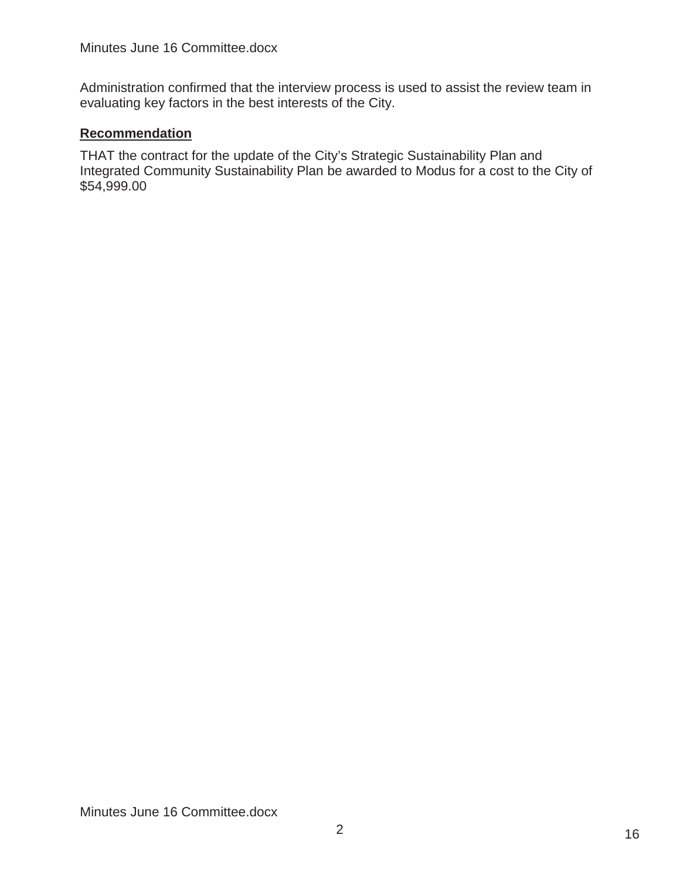Administration confirmed that the interview process is used to assist the review team in evaluating key factors in the best interests of the City.

### **Recommendation**

THAT the contract for the update of the City's Strategic Sustainability Plan and Integrated Community Sustainability Plan be awarded to Modus for a cost to the City of \$54,999.00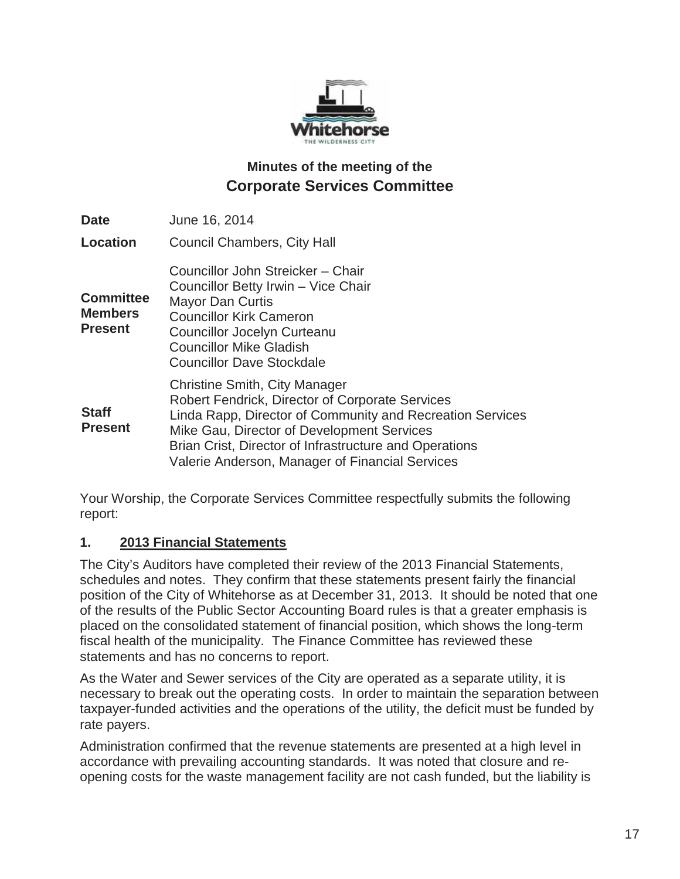

# **Minutes of the meeting of the Corporate Services Committee**

| <b>Date</b>                                          | June 16, 2014                                                                                                                                                                                                                                                                                                          |
|------------------------------------------------------|------------------------------------------------------------------------------------------------------------------------------------------------------------------------------------------------------------------------------------------------------------------------------------------------------------------------|
| <b>Location</b>                                      | <b>Council Chambers, City Hall</b>                                                                                                                                                                                                                                                                                     |
| <b>Committee</b><br><b>Members</b><br><b>Present</b> | Councillor John Streicker - Chair<br>Councillor Betty Irwin - Vice Chair<br><b>Mayor Dan Curtis</b><br><b>Councillor Kirk Cameron</b><br><b>Councillor Jocelyn Curteanu</b><br><b>Councillor Mike Gladish</b><br><b>Councillor Dave Stockdale</b>                                                                      |
| <b>Staff</b><br><b>Present</b>                       | <b>Christine Smith, City Manager</b><br><b>Robert Fendrick, Director of Corporate Services</b><br>Linda Rapp, Director of Community and Recreation Services<br>Mike Gau, Director of Development Services<br>Brian Crist, Director of Infrastructure and Operations<br>Valerie Anderson, Manager of Financial Services |

Your Worship, the Corporate Services Committee respectfully submits the following report:

### **1. 2013 Financial Statements**

The City's Auditors have completed their review of the 2013 Financial Statements, schedules and notes. They confirm that these statements present fairly the financial position of the City of Whitehorse as at December 31, 2013. It should be noted that one of the results of the Public Sector Accounting Board rules is that a greater emphasis is placed on the consolidated statement of financial position, which shows the long-term fiscal health of the municipality. The Finance Committee has reviewed these statements and has no concerns to report.

As the Water and Sewer services of the City are operated as a separate utility, it is necessary to break out the operating costs. In order to maintain the separation between taxpayer-funded activities and the operations of the utility, the deficit must be funded by rate payers.

Administration confirmed that the revenue statements are presented at a high level in accordance with prevailing accounting standards. It was noted that closure and reopening costs for the waste management facility are not cash funded, but the liability is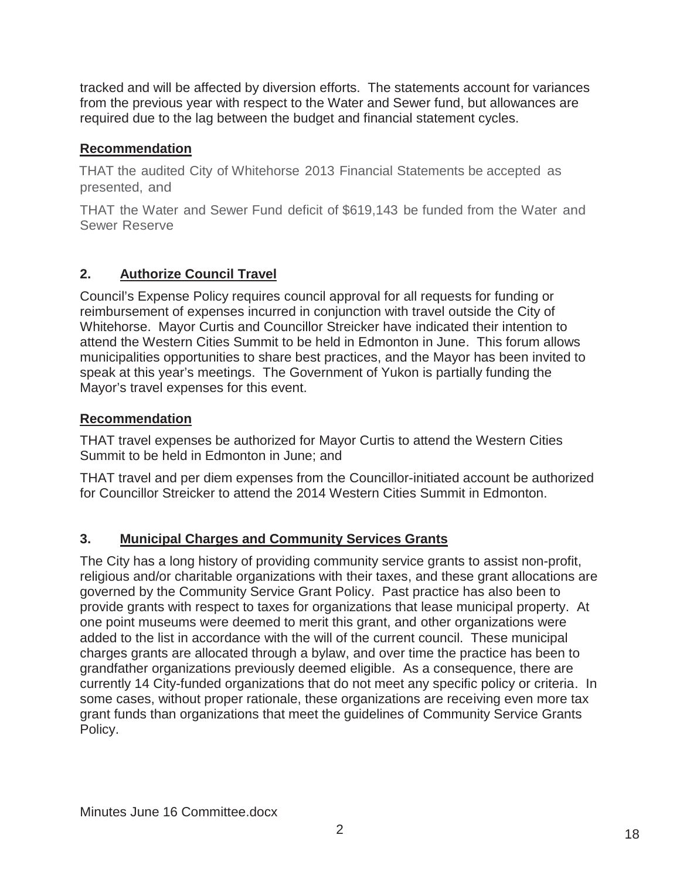tracked and will be affected by diversion efforts. The statements account for variances from the previous year with respect to the Water and Sewer fund, but allowances are required due to the lag between the budget and financial statement cycles.

### **Recommendation**

THAT the audited City of Whitehorse 2013 Financial Statements be accepted as presented, and

THAT the Water and Sewer Fund deficit of \$619,143 be funded from the Water and Sewer Reserve

# **2. Authorize Council Travel**

Council's Expense Policy requires council approval for all requests for funding or reimbursement of expenses incurred in conjunction with travel outside the City of Whitehorse. Mayor Curtis and Councillor Streicker have indicated their intention to attend the Western Cities Summit to be held in Edmonton in June. This forum allows municipalities opportunities to share best practices, and the Mayor has been invited to speak at this year's meetings. The Government of Yukon is partially funding the Mayor's travel expenses for this event.

### **Recommendation**

THAT travel expenses be authorized for Mayor Curtis to attend the Western Cities Summit to be held in Edmonton in June; and

THAT travel and per diem expenses from the Councillor-initiated account be authorized for Councillor Streicker to attend the 2014 Western Cities Summit in Edmonton.

# **3. Municipal Charges and Community Services Grants**

The City has a long history of providing community service grants to assist non-profit, religious and/or charitable organizations with their taxes, and these grant allocations are governed by the Community Service Grant Policy. Past practice has also been to provide grants with respect to taxes for organizations that lease municipal property. At one point museums were deemed to merit this grant, and other organizations were added to the list in accordance with the will of the current council. These municipal charges grants are allocated through a bylaw, and over time the practice has been to grandfather organizations previously deemed eligible. As a consequence, there are currently 14 City-funded organizations that do not meet any specific policy or criteria. In some cases, without proper rationale, these organizations are receiving even more tax grant funds than organizations that meet the guidelines of Community Service Grants Policy.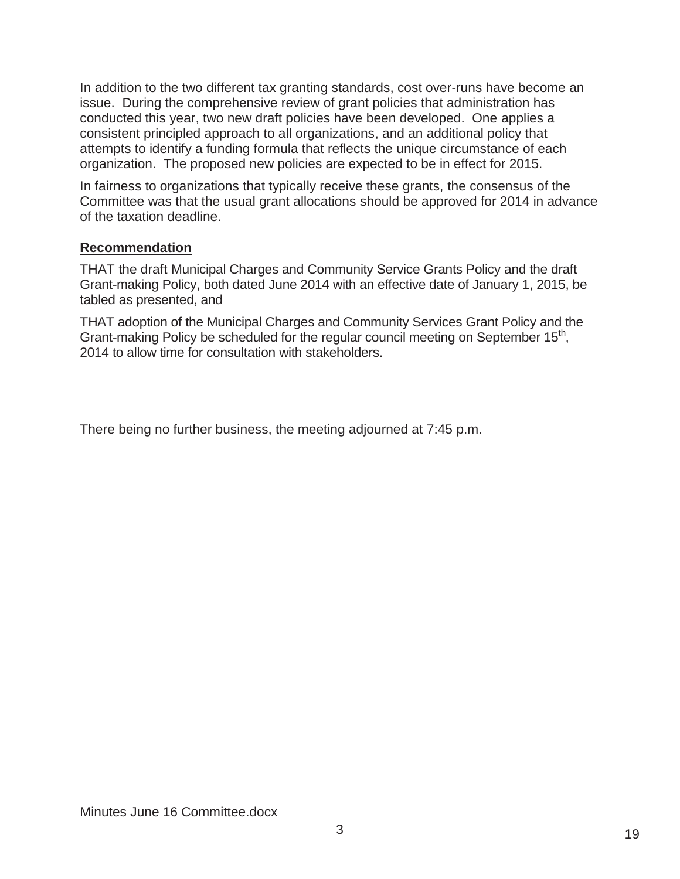In addition to the two different tax granting standards, cost over-runs have become an issue. During the comprehensive review of grant policies that administration has conducted this year, two new draft policies have been developed. One applies a consistent principled approach to all organizations, and an additional policy that attempts to identify a funding formula that reflects the unique circumstance of each organization. The proposed new policies are expected to be in effect for 2015.

In fairness to organizations that typically receive these grants, the consensus of the Committee was that the usual grant allocations should be approved for 2014 in advance of the taxation deadline.

### **Recommendation**

THAT the draft Municipal Charges and Community Service Grants Policy and the draft Grant-making Policy, both dated June 2014 with an effective date of January 1, 2015, be tabled as presented, and

THAT adoption of the Municipal Charges and Community Services Grant Policy and the Grant-making Policy be scheduled for the regular council meeting on September  $15<sup>th</sup>$ , 2014 to allow time for consultation with stakeholders.

There being no further business, the meeting adjourned at 7:45 p.m.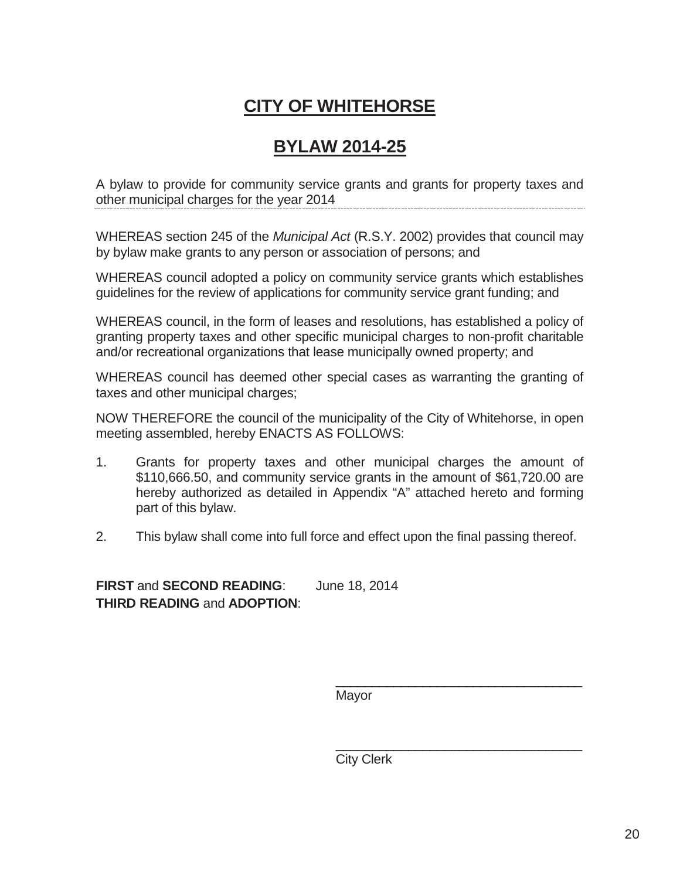# **CITY OF WHITEHORSE**

# **BYLAW 2014-25**

A bylaw to provide for community service grants and grants for property taxes and other municipal charges for the year 2014

WHEREAS section 245 of the *Municipal Act* (R.S.Y. 2002) provides that council may by bylaw make grants to any person or association of persons; and

WHEREAS council adopted a policy on community service grants which establishes guidelines for the review of applications for community service grant funding; and

WHEREAS council, in the form of leases and resolutions, has established a policy of granting property taxes and other specific municipal charges to non-profit charitable and/or recreational organizations that lease municipally owned property; and

WHEREAS council has deemed other special cases as warranting the granting of taxes and other municipal charges;

NOW THEREFORE the council of the municipality of the City of Whitehorse, in open meeting assembled, hereby ENACTS AS FOLLOWS:

- 1. Grants for property taxes and other municipal charges the amount of \$110,666.50, and community service grants in the amount of \$61,720.00 are hereby authorized as detailed in Appendix "A" attached hereto and forming part of this bylaw.
- 2. This bylaw shall come into full force and effect upon the final passing thereof.

**FIRST** and **SECOND READING**: June 18, 2014 **THIRD READING** and **ADOPTION**:

Mayor

\_\_\_\_\_\_\_\_\_\_\_\_\_\_\_\_\_\_\_\_\_\_\_\_\_\_\_\_\_\_\_\_\_\_

\_\_\_\_\_\_\_\_\_\_\_\_\_\_\_\_\_\_\_\_\_\_\_\_\_\_\_\_\_\_\_\_\_\_ City Clerk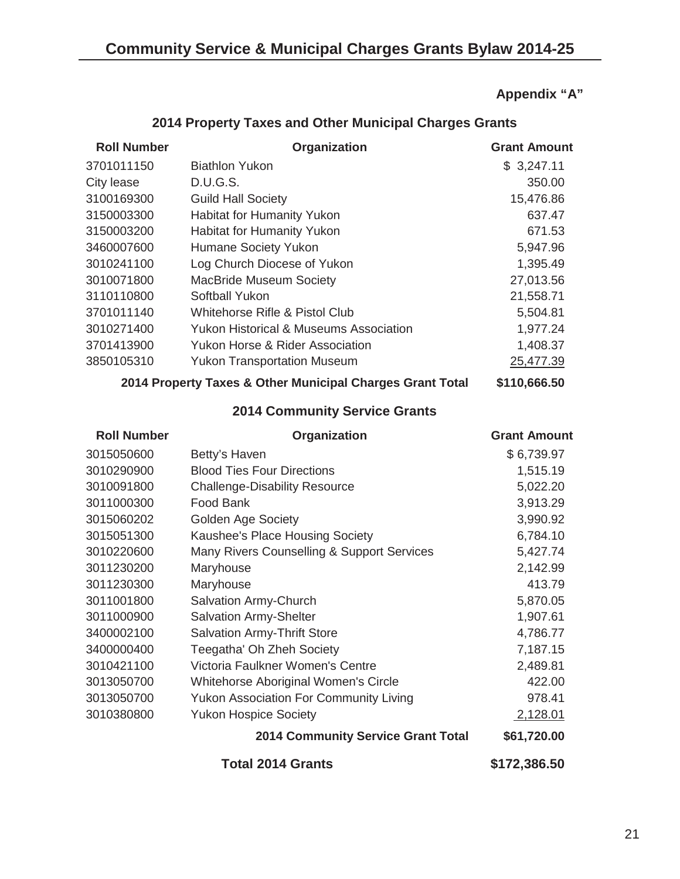**Appendix "A"**

| <b>Roll Number</b>                   | Organization                                              | <b>Grant Amount</b> |  |  |
|--------------------------------------|-----------------------------------------------------------|---------------------|--|--|
| 3701011150                           | <b>Biathlon Yukon</b>                                     | \$3,247.11          |  |  |
| City lease                           | <b>D.U.G.S.</b>                                           | 350.00              |  |  |
| 3100169300                           | <b>Guild Hall Society</b>                                 | 15,476.86           |  |  |
| 3150003300                           | <b>Habitat for Humanity Yukon</b>                         | 637.47              |  |  |
| 3150003200                           | <b>Habitat for Humanity Yukon</b>                         | 671.53              |  |  |
| 3460007600                           | Humane Society Yukon                                      | 5,947.96            |  |  |
| 3010241100                           | Log Church Diocese of Yukon                               | 1,395.49            |  |  |
| 3010071800                           | <b>MacBride Museum Society</b>                            | 27,013.56           |  |  |
| 3110110800                           | <b>Softball Yukon</b>                                     | 21,558.71           |  |  |
| 3701011140                           | Whitehorse Rifle & Pistol Club                            | 5,504.81            |  |  |
| 3010271400                           | <b>Yukon Historical &amp; Museums Association</b>         | 1,977.24            |  |  |
| 3701413900                           | <b>Yukon Horse &amp; Rider Association</b>                | 1,408.37            |  |  |
| 3850105310                           | <b>Yukon Transportation Museum</b>                        | 25,477.39           |  |  |
|                                      | 2014 Property Taxes & Other Municipal Charges Grant Total | \$110,666.50        |  |  |
| <b>2014 Community Service Grants</b> |                                                           |                     |  |  |
| <b>Roll Number</b>                   | Organization                                              | <b>Grant Amount</b> |  |  |
| 3015050600                           | Betty's Haven                                             | \$6,739.97          |  |  |
| 3010290900                           | <b>Blood Ties Four Directions</b>                         | 1,515.19            |  |  |
| 3010091800                           | <b>Challenge-Disability Resource</b>                      | 5,022.20            |  |  |
| 3011000300                           | <b>Food Bank</b>                                          | 3,913.29            |  |  |
| 3015060202                           | <b>Golden Age Society</b>                                 | 3,990.92            |  |  |
| 3015051300                           | Kaushee's Place Housing Society                           | 6,784.10            |  |  |
| 3010220600                           | Many Rivers Counselling & Support Services                | 5,427.74            |  |  |
| 3011230200                           | Maryhouse                                                 | 2,142.99            |  |  |
| 3011230300                           | Maryhouse                                                 | 413.79              |  |  |
| 3011001800                           | Salvation Army-Church                                     | 5,870.05            |  |  |
| 3011000900                           | <b>Salvation Army-Shelter</b>                             | 1,907.61            |  |  |
| 3400002100                           | <b>Salvation Army-Thrift Store</b>                        | 4,786.77            |  |  |
| 3400000400                           | Teegatha' Oh Zheh Society                                 | 7,187.15            |  |  |
| 3010421100                           | Victoria Faulkner Women's Centre                          | 2,489.81            |  |  |
| 3013050700                           | <b>Whitehorse Aboriginal Women's Circle</b>               | 422.00              |  |  |
| 3013050700                           | <b>Yukon Association For Community Living</b>             | 978.41              |  |  |
| 3010380800                           | <b>Yukon Hospice Society</b>                              | 2,128.01            |  |  |
|                                      | <b>2014 Community Service Grant Total</b>                 | \$61,720.00         |  |  |
|                                      | <b>Total 2014 Grants</b>                                  | \$172,386.50        |  |  |

# **2014 Property Taxes and Other Municipal Charges Grants**